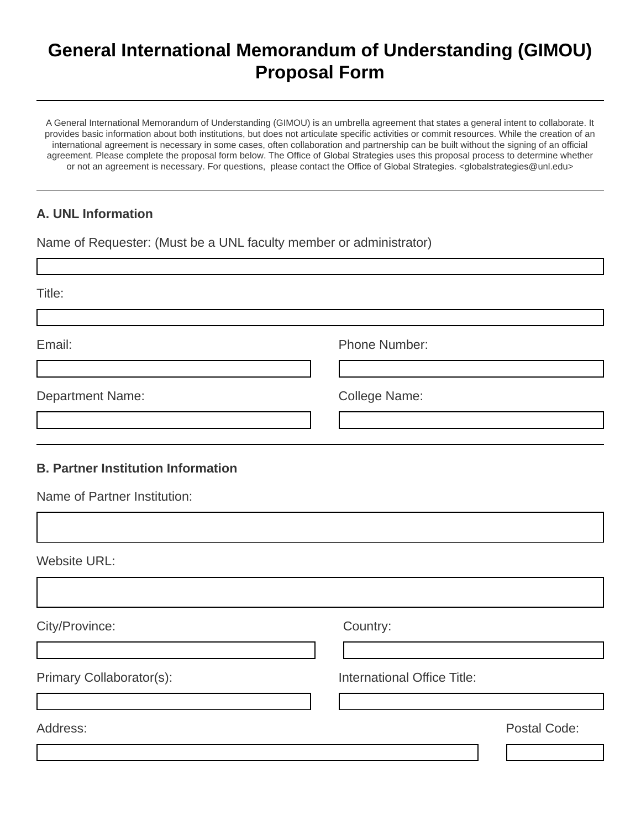## **General International Memorandum of Understanding (GIMOU) Proposal Form**

A General International Memorandum of Understanding (GIMOU) is an umbrella agreement that states a general intent to collaborate. It provides basic information about both institutions, but does not articulate specific activities or commit resources. While the creation of an international agreement is necessary in some cases, often collaboration and partnership can be built without the signing of an official agreement. Please complete the proposal form below. The Office of Global Strategies uses this proposal process to determine whether or not an agreement is necessary. For questions, please contact the Office of Global Strategies. <globalstrategies@unl.edu>

## **A. UNL Information**

Г

Name of Requester: (Must be a UNL faculty member or administrator)

| Title:                                                                    |                             |
|---------------------------------------------------------------------------|-----------------------------|
| Email:                                                                    | Phone Number:               |
| <b>Department Name:</b>                                                   | College Name:               |
| <b>B. Partner Institution Information</b><br>Name of Partner Institution: |                             |
| <b>Website URL:</b>                                                       |                             |
| City/Province:                                                            | Country:                    |
| Primary Collaborator(s):                                                  | International Office Title: |
| Address:                                                                  | Postal Code:                |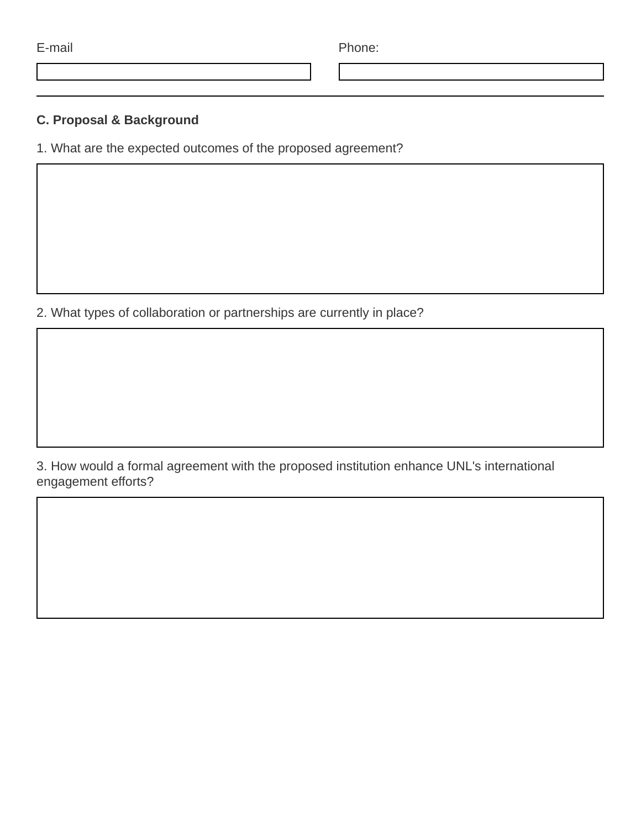| . . |  |
|-----|--|

E-mail Phone:

## **C. Proposal & Background**

1. What are the expected outcomes of the proposed agreement?

2. What types of collaboration or partnerships are currently in place?

3. How would a formal agreement with the proposed institution enhance UNL's international engagement efforts?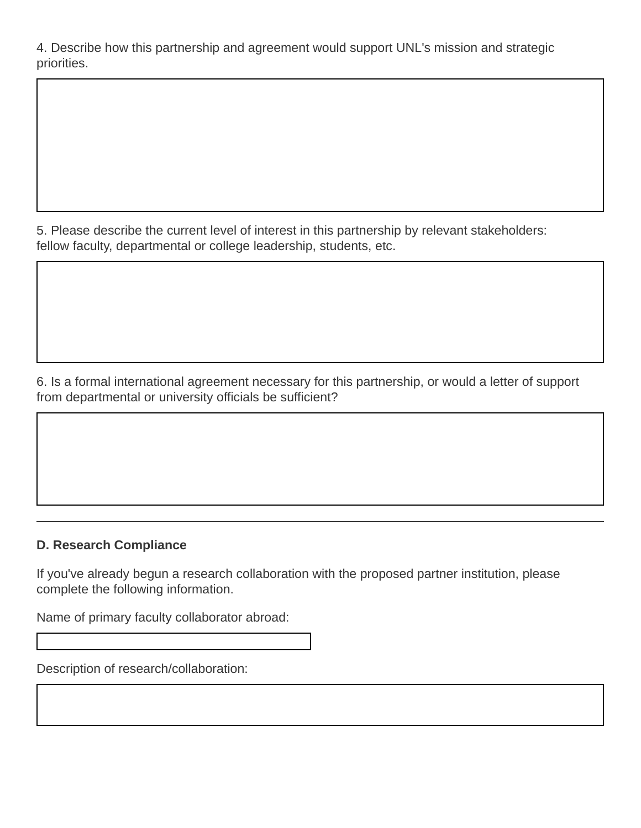4. Describe how this partnership and agreement would support UNL's mission and strategic priorities.

5. Please describe the current level of interest in this partnership by relevant stakeholders: fellow faculty, departmental or college leadership, students, etc.

6. Is a formal international agreement necessary for this partnership, or would a letter of support from departmental or university officials be sufficient?

## **D. Research Compliance**

If you've already begun a research collaboration with the proposed partner institution, please complete the following information.

Name of primary faculty collaborator abroad:

Description of research/collaboration: